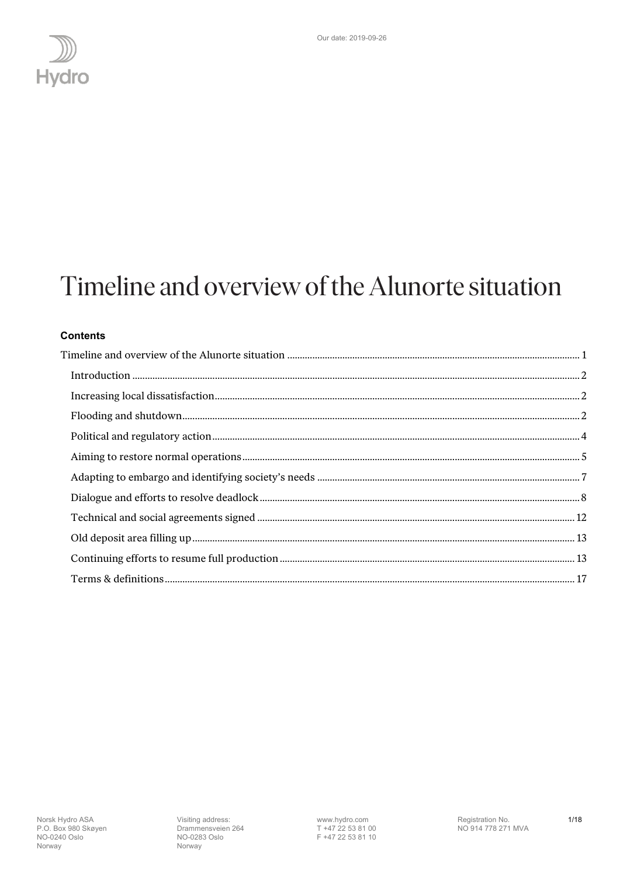

## <span id="page-0-0"></span>Timeline and overview of the Alunorte situation

## **Contents**

www.hydro.com<br>T +47 22 53 81 00<br>F +47 22 53 81 10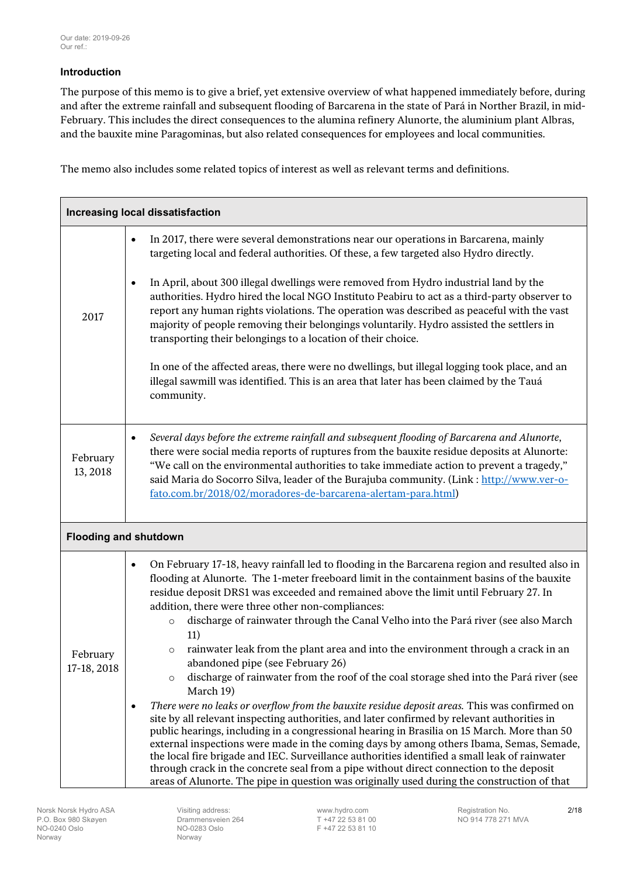## <span id="page-1-0"></span>**Introduction**

The purpose of this memo is to give a brief, yet extensive overview of what happened immediately before, during and after the extreme rainfall and subsequent flooding of Barcarena in the state of Pará in Norther Brazil, in mid-February. This includes the direct consequences to the alumina refinery Alunorte, the aluminium plant Albras, and the bauxite mine Paragominas, but also related consequences for employees and local communities.

The memo also includes some related topics of interest as well as relevant terms and definitions.

<span id="page-1-2"></span><span id="page-1-1"></span>

| Increasing local dissatisfaction |                        |                                                                                                                                                                                                                                                                                                                                                                                                                                                                                                                                                                                                                                                                                                                                                                                                          |
|----------------------------------|------------------------|----------------------------------------------------------------------------------------------------------------------------------------------------------------------------------------------------------------------------------------------------------------------------------------------------------------------------------------------------------------------------------------------------------------------------------------------------------------------------------------------------------------------------------------------------------------------------------------------------------------------------------------------------------------------------------------------------------------------------------------------------------------------------------------------------------|
|                                  | $\bullet$              | In 2017, there were several demonstrations near our operations in Barcarena, mainly<br>targeting local and federal authorities. Of these, a few targeted also Hydro directly.                                                                                                                                                                                                                                                                                                                                                                                                                                                                                                                                                                                                                            |
| 2017                             | $\bullet$              | In April, about 300 illegal dwellings were removed from Hydro industrial land by the<br>authorities. Hydro hired the local NGO Instituto Peabiru to act as a third-party observer to<br>report any human rights violations. The operation was described as peaceful with the vast<br>majority of people removing their belongings voluntarily. Hydro assisted the settlers in<br>transporting their belongings to a location of their choice.                                                                                                                                                                                                                                                                                                                                                            |
|                                  |                        | In one of the affected areas, there were no dwellings, but illegal logging took place, and an<br>illegal sawmill was identified. This is an area that later has been claimed by the Tauá<br>community.                                                                                                                                                                                                                                                                                                                                                                                                                                                                                                                                                                                                   |
| February<br>13, 2018             | $\bullet$              | Several days before the extreme rainfall and subsequent flooding of Barcarena and Alunorte,<br>there were social media reports of ruptures from the bauxite residue deposits at Alunorte:<br>"We call on the environmental authorities to take immediate action to prevent a tragedy,"<br>said Maria do Socorro Silva, leader of the Burajuba community. (Link: http://www.ver-o-<br>fato.com.br/2018/02/moradores-de-barcarena-alertam-para.html)                                                                                                                                                                                                                                                                                                                                                       |
| <b>Flooding and shutdown</b>     |                        |                                                                                                                                                                                                                                                                                                                                                                                                                                                                                                                                                                                                                                                                                                                                                                                                          |
| February<br>17-18, 2018          | $\bullet$<br>$\bullet$ | On February 17-18, heavy rainfall led to flooding in the Barcarena region and resulted also in<br>flooding at Alunorte. The 1-meter freeboard limit in the containment basins of the bauxite<br>residue deposit DRS1 was exceeded and remained above the limit until February 27. In<br>addition, there were three other non-compliances:<br>discharge of rainwater through the Canal Velho into the Pará river (see also March<br>$\circ$<br>11)<br>rainwater leak from the plant area and into the environment through a crack in an<br>$\circ$<br>abandoned pipe (see February 26)<br>discharge of rainwater from the roof of the coal storage shed into the Pará river (see<br>$\circ$<br>March 19)<br>There were no leaks or overflow from the bauxite residue deposit areas. This was confirmed on |
|                                  |                        | site by all relevant inspecting authorities, and later confirmed by relevant authorities in<br>public hearings, including in a congressional hearing in Brasilia on 15 March. More than 50<br>external inspections were made in the coming days by among others Ibama, Semas, Semade,<br>the local fire brigade and IEC. Surveillance authorities identified a small leak of rainwater<br>through crack in the concrete seal from a pipe without direct connection to the deposit<br>areas of Alunorte. The pipe in question was originally used during the construction of that                                                                                                                                                                                                                         |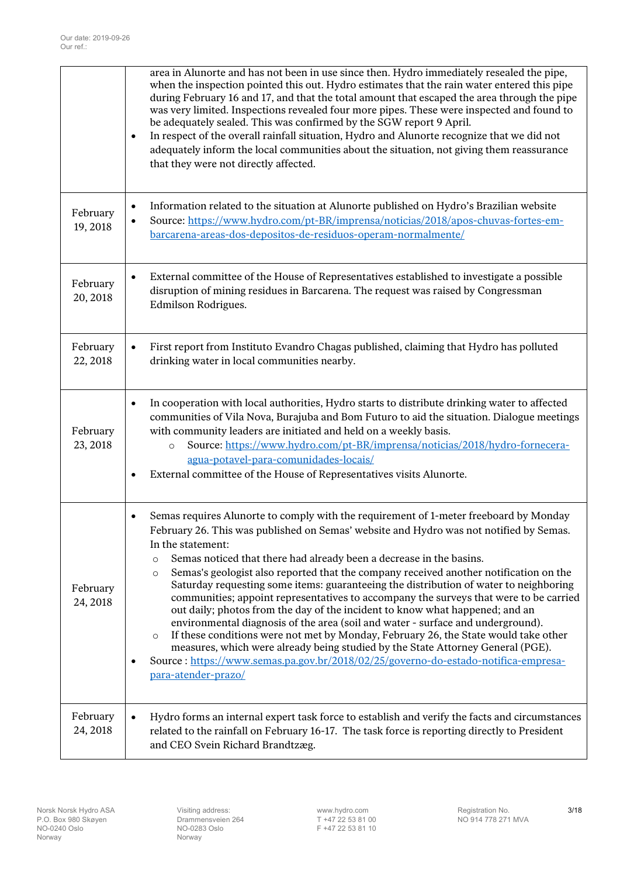|                      | area in Alunorte and has not been in use since then. Hydro immediately resealed the pipe,<br>when the inspection pointed this out. Hydro estimates that the rain water entered this pipe<br>during February 16 and 17, and that the total amount that escaped the area through the pipe<br>was very limited. Inspections revealed four more pipes. These were inspected and found to<br>be adequately sealed. This was confirmed by the SGW report 9 April.<br>In respect of the overall rainfall situation, Hydro and Alunorte recognize that we did not<br>$\bullet$<br>adequately inform the local communities about the situation, not giving them reassurance<br>that they were not directly affected.                                                                                                                                                                                                                                                                                                                                                                  |
|----------------------|------------------------------------------------------------------------------------------------------------------------------------------------------------------------------------------------------------------------------------------------------------------------------------------------------------------------------------------------------------------------------------------------------------------------------------------------------------------------------------------------------------------------------------------------------------------------------------------------------------------------------------------------------------------------------------------------------------------------------------------------------------------------------------------------------------------------------------------------------------------------------------------------------------------------------------------------------------------------------------------------------------------------------------------------------------------------------|
| February<br>19,2018  | Information related to the situation at Alunorte published on Hydro's Brazilian website<br>$\bullet$<br>Source: https://www.hydro.com/pt-BR/imprensa/noticias/2018/apos-chuvas-fortes-em-<br>$\bullet$<br>barcarena-areas-dos-depositos-de-residuos-operam-normalmente/                                                                                                                                                                                                                                                                                                                                                                                                                                                                                                                                                                                                                                                                                                                                                                                                      |
| February<br>20, 2018 | External committee of the House of Representatives established to investigate a possible<br>$\bullet$<br>disruption of mining residues in Barcarena. The request was raised by Congressman<br>Edmilson Rodrigues.                                                                                                                                                                                                                                                                                                                                                                                                                                                                                                                                                                                                                                                                                                                                                                                                                                                            |
| February<br>22, 2018 | First report from Instituto Evandro Chagas published, claiming that Hydro has polluted<br>$\bullet$<br>drinking water in local communities nearby.                                                                                                                                                                                                                                                                                                                                                                                                                                                                                                                                                                                                                                                                                                                                                                                                                                                                                                                           |
| February<br>23, 2018 | In cooperation with local authorities, Hydro starts to distribute drinking water to affected<br>$\bullet$<br>communities of Vila Nova, Burajuba and Bom Futuro to aid the situation. Dialogue meetings<br>with community leaders are initiated and held on a weekly basis.<br>Source: https://www.hydro.com/pt-BR/imprensa/noticias/2018/hydro-fornecera-<br>$\circ$<br>agua-potavel-para-comunidades-locais/<br>External committee of the House of Representatives visits Alunorte.<br>$\bullet$                                                                                                                                                                                                                                                                                                                                                                                                                                                                                                                                                                            |
| February<br>24, 2018 | Semas requires Alunorte to comply with the requirement of 1-meter freeboard by Monday<br>$\bullet$<br>February 26. This was published on Semas' website and Hydro was not notified by Semas.<br>In the statement:<br>Semas noticed that there had already been a decrease in the basins.<br>$\circ$<br>Semas's geologist also reported that the company received another notification on the<br>$\circ$<br>Saturday requesting some items: guaranteeing the distribution of water to neighboring<br>communities; appoint representatives to accompany the surveys that were to be carried<br>out daily; photos from the day of the incident to know what happened; and an<br>environmental diagnosis of the area (soil and water - surface and underground).<br>If these conditions were not met by Monday, February 26, the State would take other<br>$\circ$<br>measures, which were already being studied by the State Attorney General (PGE).<br>Source : https://www.semas.pa.gov.br/2018/02/25/governo-do-estado-notifica-empresa-<br>$\bullet$<br>para-atender-prazo/ |
| February<br>24, 2018 | Hydro forms an internal expert task force to establish and verify the facts and circumstances<br>$\bullet$<br>related to the rainfall on February 16-17. The task force is reporting directly to President<br>and CEO Svein Richard Brandtzæg.                                                                                                                                                                                                                                                                                                                                                                                                                                                                                                                                                                                                                                                                                                                                                                                                                               |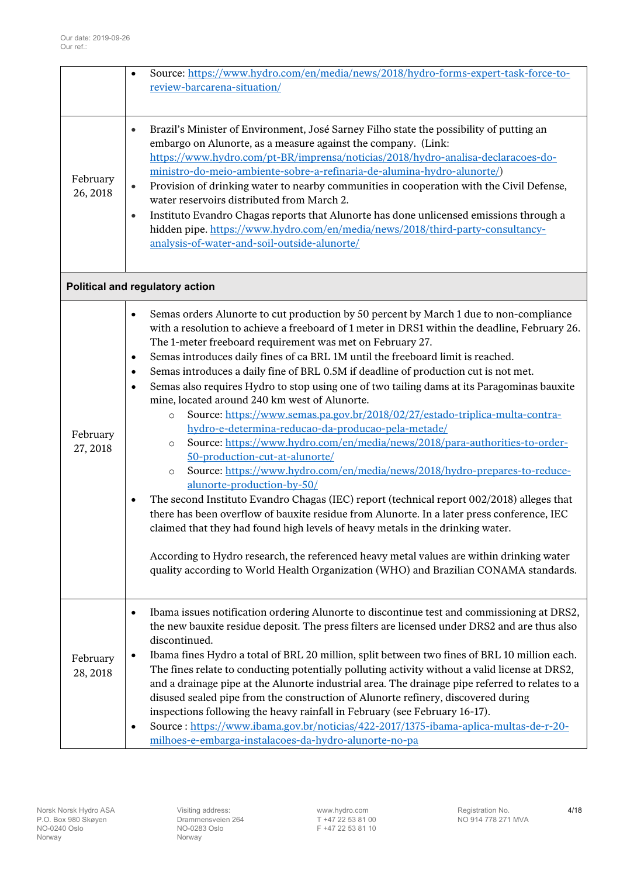<span id="page-3-0"></span>

|                      | Source: https://www.hydro.com/en/media/news/2018/hydro-forms-expert-task-force-to-<br>$\bullet$<br>review-barcarena-situation/                                                                                                                                                                                                                                                                                                                                                                                                                                                                                                                                                                                                                                                                                                                                                                                                                                                                                                                                                                                                                                                                                                                                                                                                                                                                                                                                                                                      |
|----------------------|---------------------------------------------------------------------------------------------------------------------------------------------------------------------------------------------------------------------------------------------------------------------------------------------------------------------------------------------------------------------------------------------------------------------------------------------------------------------------------------------------------------------------------------------------------------------------------------------------------------------------------------------------------------------------------------------------------------------------------------------------------------------------------------------------------------------------------------------------------------------------------------------------------------------------------------------------------------------------------------------------------------------------------------------------------------------------------------------------------------------------------------------------------------------------------------------------------------------------------------------------------------------------------------------------------------------------------------------------------------------------------------------------------------------------------------------------------------------------------------------------------------------|
| February<br>26, 2018 | Brazil's Minister of Environment, José Sarney Filho state the possibility of putting an<br>$\bullet$<br>embargo on Alunorte, as a measure against the company. (Link:<br>https://www.hydro.com/pt-BR/imprensa/noticias/2018/hydro-analisa-declaracoes-do-<br>ministro-do-meio-ambiente-sobre-a-refinaria-de-alumina-hydro-alunorte/)<br>Provision of drinking water to nearby communities in cooperation with the Civil Defense,<br>$\bullet$<br>water reservoirs distributed from March 2.<br>Instituto Evandro Chagas reports that Alunorte has done unlicensed emissions through a<br>$\bullet$<br>hidden pipe. https://www.hydro.com/en/media/news/2018/third-party-consultancy-<br>analysis-of-water-and-soil-outside-alunorte/                                                                                                                                                                                                                                                                                                                                                                                                                                                                                                                                                                                                                                                                                                                                                                                |
|                      | <b>Political and regulatory action</b>                                                                                                                                                                                                                                                                                                                                                                                                                                                                                                                                                                                                                                                                                                                                                                                                                                                                                                                                                                                                                                                                                                                                                                                                                                                                                                                                                                                                                                                                              |
| February<br>27, 2018 | Semas orders Alunorte to cut production by 50 percent by March 1 due to non-compliance<br>$\bullet$<br>with a resolution to achieve a freeboard of 1 meter in DRS1 within the deadline, February 26.<br>The 1-meter freeboard requirement was met on February 27.<br>Semas introduces daily fines of ca BRL 1M until the freeboard limit is reached.<br>$\bullet$<br>Semas introduces a daily fine of BRL 0.5M if deadline of production cut is not met.<br>$\bullet$<br>Semas also requires Hydro to stop using one of two tailing dams at its Paragominas bauxite<br>$\bullet$<br>mine, located around 240 km west of Alunorte.<br>Source: https://www.semas.pa.gov.br/2018/02/27/estado-triplica-multa-contra-<br>$\circ$<br>hydro-e-determina-reducao-da-producao-pela-metade/<br>Source: https://www.hydro.com/en/media/news/2018/para-authorities-to-order-<br>$\circ$<br>50-production-cut-at-alunorte/<br>Source: https://www.hydro.com/en/media/news/2018/hydro-prepares-to-reduce-<br>$\circ$<br>alunorte-production-by-50/<br>The second Instituto Evandro Chagas (IEC) report (technical report 002/2018) alleges that<br>$\bullet$<br>there has been overflow of bauxite residue from Alunorte. In a later press conference, IEC<br>claimed that they had found high levels of heavy metals in the drinking water.<br>According to Hydro research, the referenced heavy metal values are within drinking water<br>quality according to World Health Organization (WHO) and Brazilian CONAMA standards. |
| February<br>28, 2018 | Ibama issues notification ordering Alunorte to discontinue test and commissioning at DRS2,<br>٠<br>the new bauxite residue deposit. The press filters are licensed under DRS2 and are thus also<br>discontinued.<br>Ibama fines Hydro a total of BRL 20 million, split between two fines of BRL 10 million each.<br>$\bullet$<br>The fines relate to conducting potentially polluting activity without a valid license at DRS2,<br>and a drainage pipe at the Alunorte industrial area. The drainage pipe referred to relates to a<br>disused sealed pipe from the construction of Alunorte refinery, discovered during<br>inspections following the heavy rainfall in February (see February 16-17).<br>Source: https://www.ibama.gov.br/noticias/422-2017/1375-ibama-aplica-multas-de-r-20-<br>$\bullet$<br>milhoes-e-embarga-instalacoes-da-hydro-alunorte-no-pa                                                                                                                                                                                                                                                                                                                                                                                                                                                                                                                                                                                                                                                 |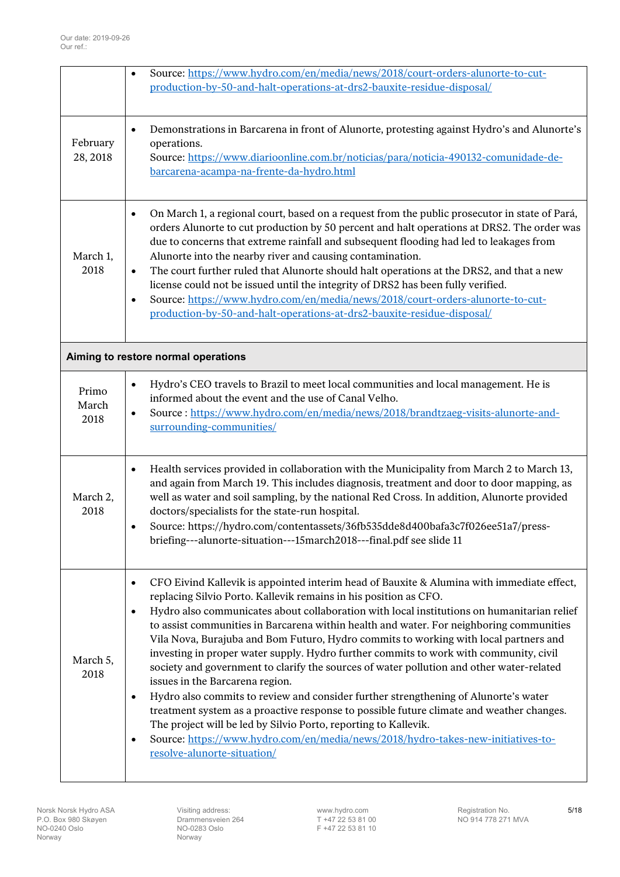<span id="page-4-0"></span>

|                        | $\bullet$                                        | Source: https://www.hydro.com/en/media/news/2018/court-orders-alunorte-to-cut-<br>production-by-50-and-halt-operations-at-drs2-bauxite-residue-disposal/                                                                                                                                                                                                                                                                                                                                                                                                                                                                                                                                                                                                                                                                                                                                                                                                                                                                                        |
|------------------------|--------------------------------------------------|-------------------------------------------------------------------------------------------------------------------------------------------------------------------------------------------------------------------------------------------------------------------------------------------------------------------------------------------------------------------------------------------------------------------------------------------------------------------------------------------------------------------------------------------------------------------------------------------------------------------------------------------------------------------------------------------------------------------------------------------------------------------------------------------------------------------------------------------------------------------------------------------------------------------------------------------------------------------------------------------------------------------------------------------------|
| February<br>28, 2018   | $\bullet$                                        | Demonstrations in Barcarena in front of Alunorte, protesting against Hydro's and Alunorte's<br>operations.<br>Source: https://www.diarioonline.com.br/noticias/para/noticia-490132-comunidade-de-<br>barcarena-acampa-na-frente-da-hydro.html                                                                                                                                                                                                                                                                                                                                                                                                                                                                                                                                                                                                                                                                                                                                                                                                   |
| March 1,<br>2018       | $\bullet$<br>$\bullet$<br>$\bullet$              | On March 1, a regional court, based on a request from the public prosecutor in state of Pará,<br>orders Alunorte to cut production by 50 percent and halt operations at DRS2. The order was<br>due to concerns that extreme rainfall and subsequent flooding had led to leakages from<br>Alunorte into the nearby river and causing contamination.<br>The court further ruled that Alunorte should halt operations at the DRS2, and that a new<br>license could not be issued until the integrity of DRS2 has been fully verified.<br>Source: https://www.hydro.com/en/media/news/2018/court-orders-alunorte-to-cut-<br>production-by-50-and-halt-operations-at-drs2-bauxite-residue-disposal/                                                                                                                                                                                                                                                                                                                                                  |
|                        |                                                  | Aiming to restore normal operations                                                                                                                                                                                                                                                                                                                                                                                                                                                                                                                                                                                                                                                                                                                                                                                                                                                                                                                                                                                                             |
| Primo<br>March<br>2018 | $\bullet$<br>$\bullet$                           | Hydro's CEO travels to Brazil to meet local communities and local management. He is<br>informed about the event and the use of Canal Velho.<br>Source: https://www.hydro.com/en/media/news/2018/brandtzaeg-visits-alunorte-and-<br>surrounding-communities/                                                                                                                                                                                                                                                                                                                                                                                                                                                                                                                                                                                                                                                                                                                                                                                     |
| March 2,<br>2018       | $\bullet$<br>$\bullet$                           | Health services provided in collaboration with the Municipality from March 2 to March 13,<br>and again from March 19. This includes diagnosis, treatment and door to door mapping, as<br>well as water and soil sampling, by the national Red Cross. In addition, Alunorte provided<br>doctors/specialists for the state-run hospital.<br>Source: https://hydro.com/contentassets/36fb535dde8d400bafa3c7f026ee51a7/press-<br>briefing---alunorte-situation---15march2018---final.pdf see slide 11                                                                                                                                                                                                                                                                                                                                                                                                                                                                                                                                               |
| March 5,<br>2018       | $\bullet$<br>$\bullet$<br>$\bullet$<br>$\bullet$ | CFO Eivind Kallevik is appointed interim head of Bauxite & Alumina with immediate effect,<br>replacing Silvio Porto. Kallevik remains in his position as CFO.<br>Hydro also communicates about collaboration with local institutions on humanitarian relief<br>to assist communities in Barcarena within health and water. For neighboring communities<br>Vila Nova, Burajuba and Bom Futuro, Hydro commits to working with local partners and<br>investing in proper water supply. Hydro further commits to work with community, civil<br>society and government to clarify the sources of water pollution and other water-related<br>issues in the Barcarena region.<br>Hydro also commits to review and consider further strengthening of Alunorte's water<br>treatment system as a proactive response to possible future climate and weather changes.<br>The project will be led by Silvio Porto, reporting to Kallevik.<br>Source: https://www.hydro.com/en/media/news/2018/hydro-takes-new-initiatives-to-<br>resolve-alunorte-situation/ |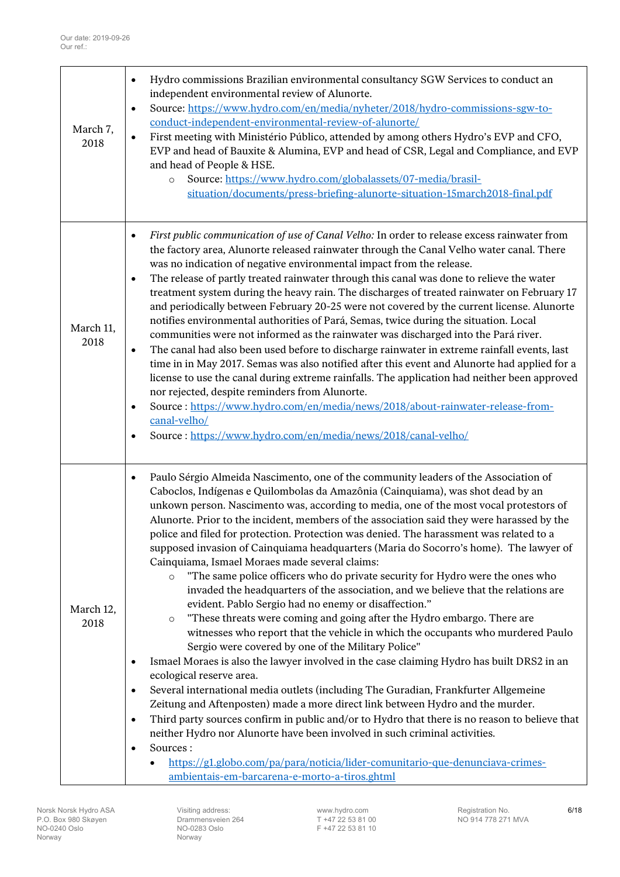| March 7,<br>2018  | Hydro commissions Brazilian environmental consultancy SGW Services to conduct an<br>$\bullet$<br>independent environmental review of Alunorte.<br>Source: https://www.hydro.com/en/media/nyheter/2018/hydro-commissions-sgw-to-<br>$\bullet$<br>conduct-independent-environmental-review-of-alunorte/<br>First meeting with Ministério Público, attended by among others Hydro's EVP and CFO,<br>$\bullet$<br>EVP and head of Bauxite & Alumina, EVP and head of CSR, Legal and Compliance, and EVP<br>and head of People & HSE.<br>Source: https://www.hydro.com/globalassets/07-media/brasil-<br>$\circ$<br>situation/documents/press-briefing-alunorte-situation-15march2018-final.pdf                                                                                                                                                                                                                                                                                                                                                                                                                                                                                                                                                                                                                                                                                                                                                                                                                                                                                                                                                                                                                                                                     |
|-------------------|---------------------------------------------------------------------------------------------------------------------------------------------------------------------------------------------------------------------------------------------------------------------------------------------------------------------------------------------------------------------------------------------------------------------------------------------------------------------------------------------------------------------------------------------------------------------------------------------------------------------------------------------------------------------------------------------------------------------------------------------------------------------------------------------------------------------------------------------------------------------------------------------------------------------------------------------------------------------------------------------------------------------------------------------------------------------------------------------------------------------------------------------------------------------------------------------------------------------------------------------------------------------------------------------------------------------------------------------------------------------------------------------------------------------------------------------------------------------------------------------------------------------------------------------------------------------------------------------------------------------------------------------------------------------------------------------------------------------------------------------------------------|
| March 11,<br>2018 | First public communication of use of Canal Velho: In order to release excess rainwater from<br>٠<br>the factory area, Alunorte released rainwater through the Canal Velho water canal. There<br>was no indication of negative environmental impact from the release.<br>The release of partly treated rainwater through this canal was done to relieve the water<br>٠<br>treatment system during the heavy rain. The discharges of treated rainwater on February 17<br>and periodically between February 20-25 were not covered by the current license. Alunorte<br>notifies environmental authorities of Pará, Semas, twice during the situation. Local<br>communities were not informed as the rainwater was discharged into the Pará river.<br>The canal had also been used before to discharge rainwater in extreme rainfall events, last<br>$\bullet$<br>time in in May 2017. Semas was also notified after this event and Alunorte had applied for a<br>license to use the canal during extreme rainfalls. The application had neither been approved<br>nor rejected, despite reminders from Alunorte.<br>Source: https://www.hydro.com/en/media/news/2018/about-rainwater-release-from-<br>$\bullet$<br>canal-velho/<br>Source: https://www.hydro.com/en/media/news/2018/canal-velho/<br>$\bullet$                                                                                                                                                                                                                                                                                                                                                                                                                                                     |
| March 12,<br>2018 | Paulo Sérgio Almeida Nascimento, one of the community leaders of the Association of<br>$\bullet$<br>Caboclos, Indígenas e Quilombolas da Amazônia (Cainquiama), was shot dead by an<br>unkown person. Nascimento was, according to media, one of the most vocal protestors of<br>Alunorte. Prior to the incident, members of the association said they were harassed by the<br>police and filed for protection. Protection was denied. The harassment was related to a<br>supposed invasion of Cainquiama headquarters (Maria do Socorro's home). The lawyer of<br>Cainquiama, Ismael Moraes made several claims:<br>"The same police officers who do private security for Hydro were the ones who<br>$\circ$<br>invaded the headquarters of the association, and we believe that the relations are<br>evident. Pablo Sergio had no enemy or disaffection."<br>"These threats were coming and going after the Hydro embargo. There are<br>$\circ$<br>witnesses who report that the vehicle in which the occupants who murdered Paulo<br>Sergio were covered by one of the Military Police"<br>Ismael Moraes is also the lawyer involved in the case claiming Hydro has built DRS2 in an<br>٠<br>ecological reserve area.<br>Several international media outlets (including The Guradian, Frankfurter Allgemeine<br>٠<br>Zeitung and Aftenposten) made a more direct link between Hydro and the murder.<br>Third party sources confirm in public and/or to Hydro that there is no reason to believe that<br>$\bullet$<br>neither Hydro nor Alunorte have been involved in such criminal activities.<br>Sources:<br>$\bullet$<br>https://g1.globo.com/pa/para/noticia/lider-comunitario-que-denunciava-crimes-<br>ambientais-em-barcarena-e-morto-a-tiros.ghtml |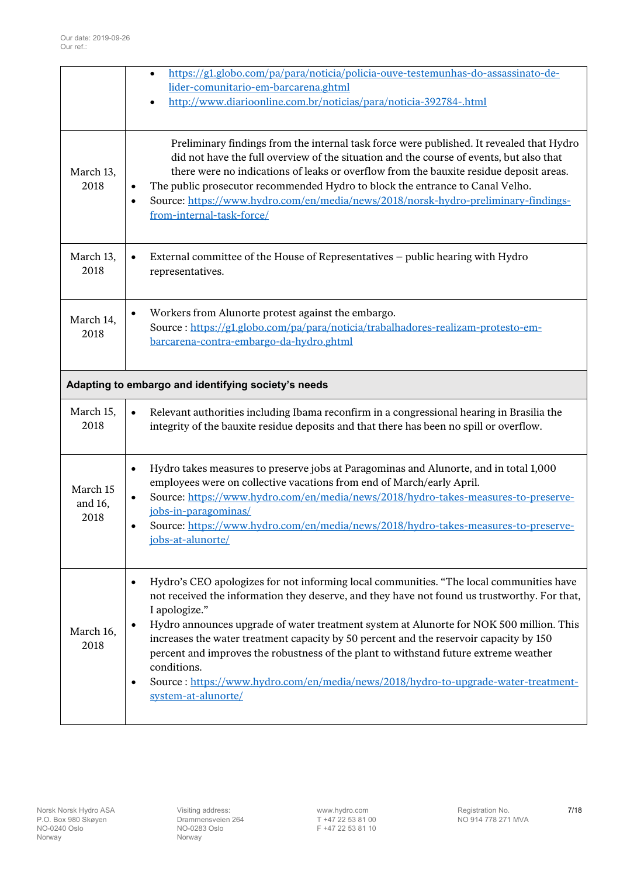<span id="page-6-0"></span>

|                             | https://g1.globo.com/pa/para/noticia/policia-ouve-testemunhas-do-assassinato-de-<br>$\bullet$<br>lider-comunitario-em-barcarena.ghtml<br>http://www.diarioonline.com.br/noticias/para/noticia-392784-.html                                                                                                                                                                                                                                                                                                                                                                                                                                       |
|-----------------------------|--------------------------------------------------------------------------------------------------------------------------------------------------------------------------------------------------------------------------------------------------------------------------------------------------------------------------------------------------------------------------------------------------------------------------------------------------------------------------------------------------------------------------------------------------------------------------------------------------------------------------------------------------|
| March 13,<br>2018           | Preliminary findings from the internal task force were published. It revealed that Hydro<br>did not have the full overview of the situation and the course of events, but also that<br>there were no indications of leaks or overflow from the bauxite residue deposit areas.<br>The public prosecutor recommended Hydro to block the entrance to Canal Velho.<br>$\bullet$<br>Source: https://www.hydro.com/en/media/news/2018/norsk-hydro-preliminary-findings-<br>$\bullet$<br>from-internal-task-force/                                                                                                                                      |
| March 13,<br>2018           | External committee of the House of Representatives - public hearing with Hydro<br>$\bullet$<br>representatives.                                                                                                                                                                                                                                                                                                                                                                                                                                                                                                                                  |
| March 14,<br>2018           | Workers from Alunorte protest against the embargo.<br>$\bullet$<br>Source: https://g1.globo.com/pa/para/noticia/trabalhadores-realizam-protesto-em-<br>barcarena-contra-embargo-da-hydro.ghtml                                                                                                                                                                                                                                                                                                                                                                                                                                                   |
|                             | Adapting to embargo and identifying society's needs                                                                                                                                                                                                                                                                                                                                                                                                                                                                                                                                                                                              |
| March 15,<br>2018           | Relevant authorities including Ibama reconfirm in a congressional hearing in Brasilia the<br>$\bullet$<br>integrity of the bauxite residue deposits and that there has been no spill or overflow.                                                                                                                                                                                                                                                                                                                                                                                                                                                |
| March 15<br>and 16,<br>2018 | Hydro takes measures to preserve jobs at Paragominas and Alunorte, and in total 1,000<br>$\bullet$<br>employees were on collective vacations from end of March/early April.<br>Source: https://www.hydro.com/en/media/news/2018/hydro-takes-measures-to-preserve-<br>$\bullet$<br>jobs-in-paragominas/<br>Source: https://www.hydro.com/en/media/news/2018/hydro-takes-measures-to-preserve-<br>$\bullet$<br>jobs-at-alunorte/                                                                                                                                                                                                                   |
| March 16,<br>2018           | Hydro's CEO apologizes for not informing local communities. "The local communities have<br>$\bullet$<br>not received the information they deserve, and they have not found us trustworthy. For that,<br>I apologize."<br>Hydro announces upgrade of water treatment system at Alunorte for NOK 500 million. This<br>$\bullet$<br>increases the water treatment capacity by 50 percent and the reservoir capacity by 150<br>percent and improves the robustness of the plant to withstand future extreme weather<br>conditions.<br>Source: https://www.hydro.com/en/media/news/2018/hydro-to-upgrade-water-treatment-<br>٠<br>system-at-alunorte/ |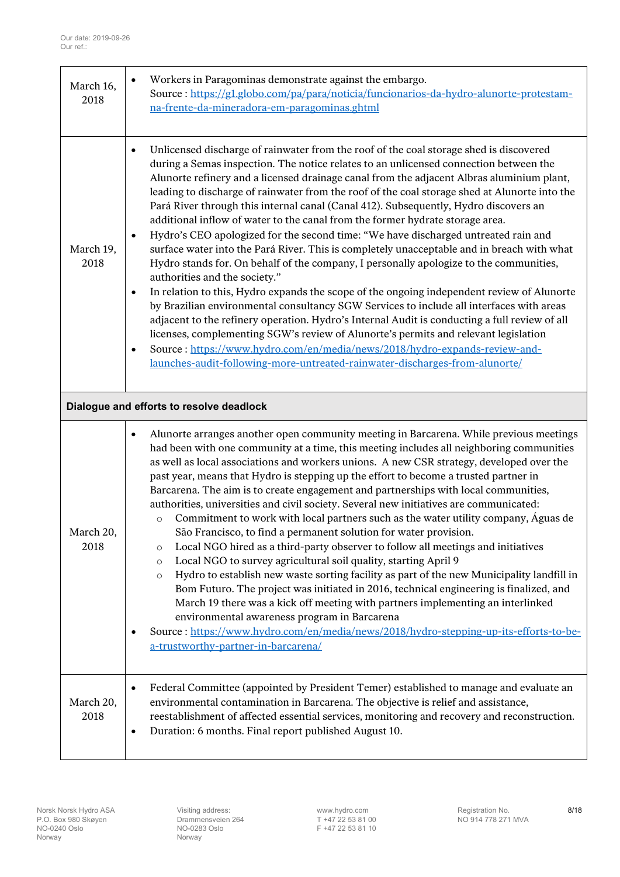<span id="page-7-0"></span>

| March 16,<br>2018 | Workers in Paragominas demonstrate against the embargo.<br>$\bullet$<br>Source: https://g1.globo.com/pa/para/noticia/funcionarios-da-hydro-alunorte-protestam-<br>na-frente-da-mineradora-em-paragominas.ghtml                                                                                                                                                                                                                                                                                                                                                                                                                                                                                                                                                                                                                                                                                                                                                                                                                                                                                                                                                                                                                                                                                                                                                                                                                                                           |
|-------------------|--------------------------------------------------------------------------------------------------------------------------------------------------------------------------------------------------------------------------------------------------------------------------------------------------------------------------------------------------------------------------------------------------------------------------------------------------------------------------------------------------------------------------------------------------------------------------------------------------------------------------------------------------------------------------------------------------------------------------------------------------------------------------------------------------------------------------------------------------------------------------------------------------------------------------------------------------------------------------------------------------------------------------------------------------------------------------------------------------------------------------------------------------------------------------------------------------------------------------------------------------------------------------------------------------------------------------------------------------------------------------------------------------------------------------------------------------------------------------|
| March 19,<br>2018 | Unlicensed discharge of rainwater from the roof of the coal storage shed is discovered<br>$\bullet$<br>during a Semas inspection. The notice relates to an unlicensed connection between the<br>Alunorte refinery and a licensed drainage canal from the adjacent Albras aluminium plant,<br>leading to discharge of rainwater from the roof of the coal storage shed at Alunorte into the<br>Pará River through this internal canal (Canal 412). Subsequently, Hydro discovers an<br>additional inflow of water to the canal from the former hydrate storage area.<br>Hydro's CEO apologized for the second time: "We have discharged untreated rain and<br>$\bullet$<br>surface water into the Pará River. This is completely unacceptable and in breach with what<br>Hydro stands for. On behalf of the company, I personally apologize to the communities,<br>authorities and the society."<br>In relation to this, Hydro expands the scope of the ongoing independent review of Alunorte<br>$\bullet$<br>by Brazilian environmental consultancy SGW Services to include all interfaces with areas<br>adjacent to the refinery operation. Hydro's Internal Audit is conducting a full review of all<br>licenses, complementing SGW's review of Alunorte's permits and relevant legislation<br>Source: https://www.hydro.com/en/media/news/2018/hydro-expands-review-and-<br>$\bullet$<br>launches-audit-following-more-untreated-rainwater-discharges-from-alunorte/ |
|                   | Dialogue and efforts to resolve deadlock                                                                                                                                                                                                                                                                                                                                                                                                                                                                                                                                                                                                                                                                                                                                                                                                                                                                                                                                                                                                                                                                                                                                                                                                                                                                                                                                                                                                                                 |
| March 20,<br>2018 | Alunorte arranges another open community meeting in Barcarena. While previous meetings<br>$\bullet$<br>had been with one community at a time, this meeting includes all neighboring communities<br>as well as local associations and workers unions. A new CSR strategy, developed over the<br>past year, means that Hydro is stepping up the effort to become a trusted partner in<br>Barcarena. The aim is to create engagement and partnerships with local communities,<br>authorities, universities and civil society. Several new initiatives are communicated:<br>Commitment to work with local partners such as the water utility company, Águas de<br>$\circ$<br>São Francisco, to find a permanent solution for water provision.<br>Local NGO hired as a third-party observer to follow all meetings and initiatives<br>O<br>Local NGO to survey agricultural soil quality, starting April 9<br>$\circ$<br>Hydro to establish new waste sorting facility as part of the new Municipality landfill in<br>$\circ$<br>Bom Futuro. The project was initiated in 2016, technical engineering is finalized, and<br>March 19 there was a kick off meeting with partners implementing an interlinked<br>environmental awareness program in Barcarena<br>Source: https://www.hydro.com/en/media/news/2018/hydro-stepping-up-its-efforts-to-be-<br>$\bullet$<br>a-trustworthy-partner-in-barcarena/                                                                       |
| March 20,<br>2018 | Federal Committee (appointed by President Temer) established to manage and evaluate an<br>$\bullet$<br>environmental contamination in Barcarena. The objective is relief and assistance,<br>reestablishment of affected essential services, monitoring and recovery and reconstruction.<br>Duration: 6 months. Final report published August 10.<br>$\bullet$                                                                                                                                                                                                                                                                                                                                                                                                                                                                                                                                                                                                                                                                                                                                                                                                                                                                                                                                                                                                                                                                                                            |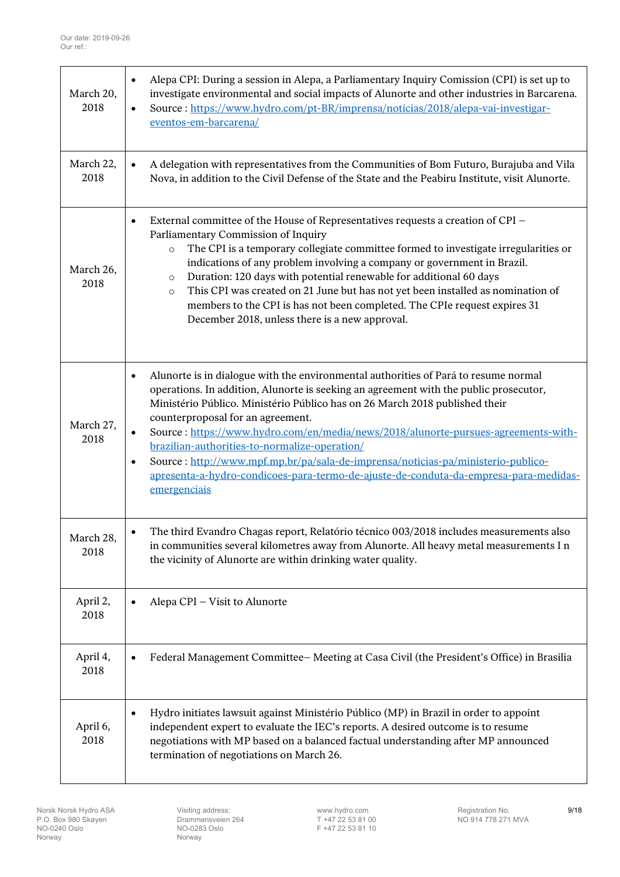| March 20,<br>2018 | Alepa CPI: During a session in Alepa, a Parliamentary Inquiry Comission (CPI) is set up to<br>$\bullet$<br>investigate environmental and social impacts of Alunorte and other industries in Barcarena.<br>Source: https://www.hydro.com/pt-BR/imprensa/noticias/2018/alepa-vai-investigar-<br>$\bullet$<br>eventos-em-barcarena/                                                                                                                                                                                                                                                                                                                                           |
|-------------------|----------------------------------------------------------------------------------------------------------------------------------------------------------------------------------------------------------------------------------------------------------------------------------------------------------------------------------------------------------------------------------------------------------------------------------------------------------------------------------------------------------------------------------------------------------------------------------------------------------------------------------------------------------------------------|
| March 22,<br>2018 | A delegation with representatives from the Communities of Bom Futuro, Burajuba and Vila<br>$\bullet$<br>Nova, in addition to the Civil Defense of the State and the Peabiru Institute, visit Alunorte.                                                                                                                                                                                                                                                                                                                                                                                                                                                                     |
| March 26,<br>2018 | External committee of the House of Representatives requests a creation of CPI -<br>$\bullet$<br>Parliamentary Commission of Inquiry<br>The CPI is a temporary collegiate committee formed to investigate irregularities or<br>$\circ$<br>indications of any problem involving a company or government in Brazil.<br>Duration: 120 days with potential renewable for additional 60 days<br>$\circ$<br>This CPI was created on 21 June but has not yet been installed as nomination of<br>$\circ$<br>members to the CPI is has not been completed. The CPIe request expires 31<br>December 2018, unless there is a new approval.                                             |
| March 27,<br>2018 | Alunorte is in dialogue with the environmental authorities of Pará to resume normal<br>$\bullet$<br>operations. In addition, Alunorte is seeking an agreement with the public prosecutor,<br>Ministério Público. Ministério Público has on 26 March 2018 published their<br>counterproposal for an agreement.<br>Source: https://www.hydro.com/en/media/news/2018/alunorte-pursues-agreements-with-<br>$\bullet$<br>brazilian-authorities-to-normalize-operation/<br>Source: http://www.mpf.mp.br/pa/sala-de-imprensa/noticias-pa/ministerio-publico-<br>$\bullet$<br>apresenta-a-hydro-condicoes-para-termo-de-ajuste-de-conduta-da-empresa-para-medidas-<br>emergenciais |
| March 28,<br>2018 | The third Evandro Chagas report, Relatório técnico 003/2018 includes measurements also<br>in communities several kilometres away from Alunorte. All heavy metal measurements I n<br>the vicinity of Alunorte are within drinking water quality.                                                                                                                                                                                                                                                                                                                                                                                                                            |
| April 2,<br>2018  | Alepa CPI – Visit to Alunorte<br>$\bullet$                                                                                                                                                                                                                                                                                                                                                                                                                                                                                                                                                                                                                                 |
| April 4,<br>2018  | Federal Management Committee-Meeting at Casa Civil (the President's Office) in Brasilia<br>$\bullet$                                                                                                                                                                                                                                                                                                                                                                                                                                                                                                                                                                       |
| April 6,<br>2018  | Hydro initiates lawsuit against Ministério Público (MP) in Brazil in order to appoint<br>$\bullet$<br>independent expert to evaluate the IEC's reports. A desired outcome is to resume<br>negotiations with MP based on a balanced factual understanding after MP announced<br>termination of negotiations on March 26.                                                                                                                                                                                                                                                                                                                                                    |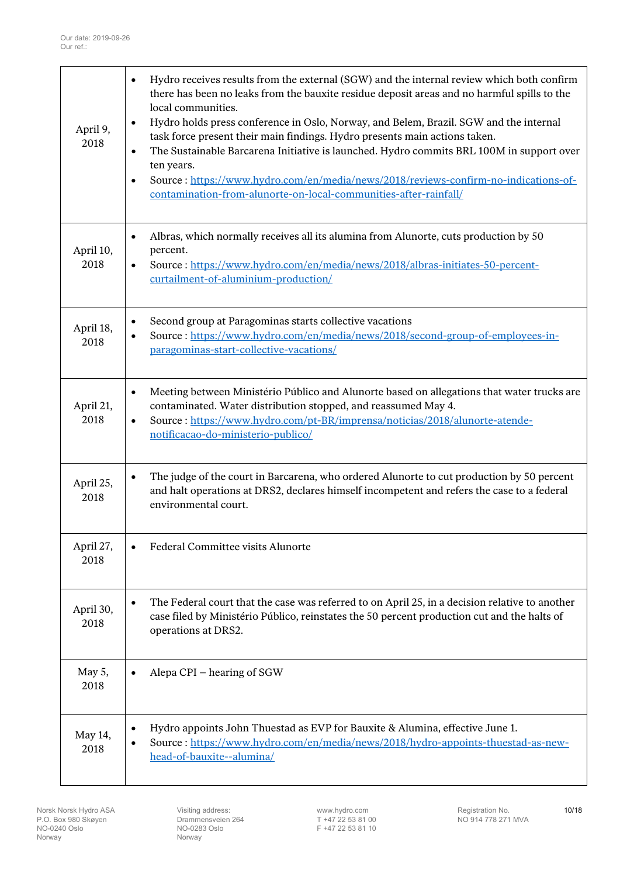| April 9,<br>2018  | Hydro receives results from the external (SGW) and the internal review which both confirm<br>$\bullet$<br>there has been no leaks from the bauxite residue deposit areas and no harmful spills to the<br>local communities.<br>Hydro holds press conference in Oslo, Norway, and Belem, Brazil. SGW and the internal<br>$\bullet$<br>task force present their main findings. Hydro presents main actions taken.<br>The Sustainable Barcarena Initiative is launched. Hydro commits BRL 100M in support over<br>$\bullet$<br>ten years.<br>Source: https://www.hydro.com/en/media/news/2018/reviews-confirm-no-indications-of-<br>$\bullet$<br>contamination-from-alunorte-on-local-communities-after-rainfall/ |
|-------------------|----------------------------------------------------------------------------------------------------------------------------------------------------------------------------------------------------------------------------------------------------------------------------------------------------------------------------------------------------------------------------------------------------------------------------------------------------------------------------------------------------------------------------------------------------------------------------------------------------------------------------------------------------------------------------------------------------------------|
| April 10,<br>2018 | Albras, which normally receives all its alumina from Alunorte, cuts production by 50<br>$\bullet$<br>percent.<br>Source: https://www.hydro.com/en/media/news/2018/albras-initiates-50-percent-<br>$\bullet$<br>curtailment-of-aluminium-production/                                                                                                                                                                                                                                                                                                                                                                                                                                                            |
| April 18,<br>2018 | Second group at Paragominas starts collective vacations<br>$\bullet$<br>Source: https://www.hydro.com/en/media/news/2018/second-group-of-employees-in-<br>paragominas-start-collective-vacations/                                                                                                                                                                                                                                                                                                                                                                                                                                                                                                              |
| April 21,<br>2018 | Meeting between Ministério Público and Alunorte based on allegations that water trucks are<br>$\bullet$<br>contaminated. Water distribution stopped, and reassumed May 4.<br>Source: https://www.hydro.com/pt-BR/imprensa/noticias/2018/alunorte-atende-<br>$\bullet$<br>notificacao-do-ministerio-publico/                                                                                                                                                                                                                                                                                                                                                                                                    |
| April 25,<br>2018 | The judge of the court in Barcarena, who ordered Alunorte to cut production by 50 percent<br>$\bullet$<br>and halt operations at DRS2, declares himself incompetent and refers the case to a federal<br>environmental court.                                                                                                                                                                                                                                                                                                                                                                                                                                                                                   |
| April 27,<br>2018 | Federal Committee visits Alunorte<br>$\bullet$                                                                                                                                                                                                                                                                                                                                                                                                                                                                                                                                                                                                                                                                 |
| April 30,<br>2018 | The Federal court that the case was referred to on April 25, in a decision relative to another<br>$\bullet$<br>case filed by Ministério Público, reinstates the 50 percent production cut and the halts of<br>operations at DRS2.                                                                                                                                                                                                                                                                                                                                                                                                                                                                              |
| May 5,<br>2018    | Alepa CPI – hearing of SGW<br>٠                                                                                                                                                                                                                                                                                                                                                                                                                                                                                                                                                                                                                                                                                |
| May 14,<br>2018   | Hydro appoints John Thuestad as EVP for Bauxite & Alumina, effective June 1.<br>$\bullet$<br>Source: https://www.hydro.com/en/media/news/2018/hydro-appoints-thuestad-as-new-<br>head-of-bauxite--alumina/                                                                                                                                                                                                                                                                                                                                                                                                                                                                                                     |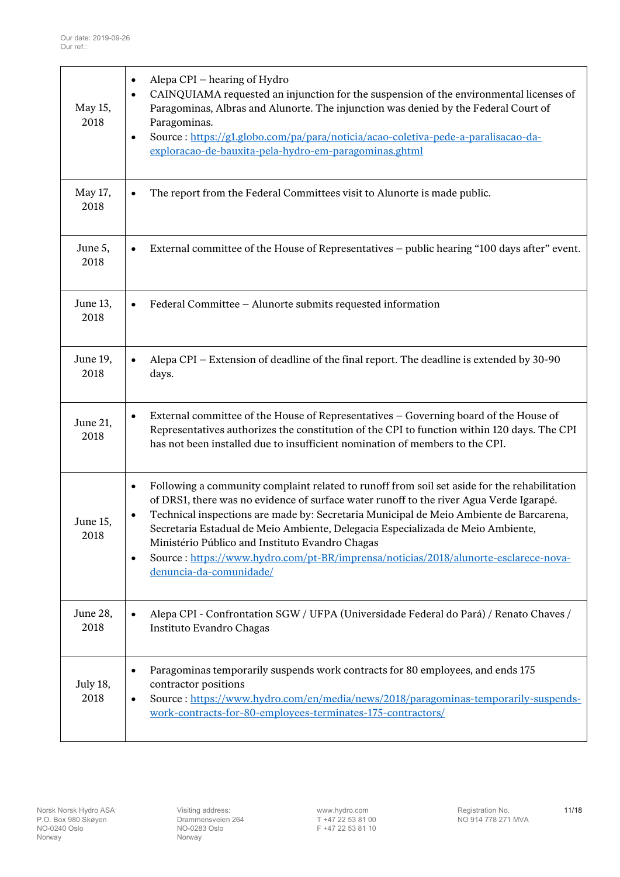| May 15,<br>2018  | Alepa CPI – hearing of Hydro<br>$\bullet$<br>CAINQUIAMA requested an injunction for the suspension of the environmental licenses of<br>$\bullet$<br>Paragominas, Albras and Alunorte. The injunction was denied by the Federal Court of<br>Paragominas.<br>Source : https://g1.globo.com/pa/para/noticia/acao-coletiva-pede-a-paralisacao-da-<br>$\bullet$<br>exploracao-de-bauxita-pela-hydro-em-paragominas.ghtml                                                                                                                                                 |
|------------------|---------------------------------------------------------------------------------------------------------------------------------------------------------------------------------------------------------------------------------------------------------------------------------------------------------------------------------------------------------------------------------------------------------------------------------------------------------------------------------------------------------------------------------------------------------------------|
| May 17,<br>2018  | The report from the Federal Committees visit to Alunorte is made public.<br>$\bullet$                                                                                                                                                                                                                                                                                                                                                                                                                                                                               |
| June 5,<br>2018  | External committee of the House of Representatives – public hearing "100 days after" event.<br>$\bullet$                                                                                                                                                                                                                                                                                                                                                                                                                                                            |
| June 13,<br>2018 | Federal Committee - Alunorte submits requested information<br>$\bullet$                                                                                                                                                                                                                                                                                                                                                                                                                                                                                             |
| June 19,<br>2018 | Alepa CPI – Extension of deadline of the final report. The deadline is extended by 30-90<br>$\bullet$<br>days.                                                                                                                                                                                                                                                                                                                                                                                                                                                      |
| June 21,<br>2018 | External committee of the House of Representatives - Governing board of the House of<br>$\bullet$<br>Representatives authorizes the constitution of the CPI to function within 120 days. The CPI<br>has not been installed due to insufficient nomination of members to the CPI.                                                                                                                                                                                                                                                                                    |
| June 15,<br>2018 | Following a community complaint related to runoff from soil set aside for the rehabilitation<br>$\bullet$<br>of DRS1, there was no evidence of surface water runoff to the river Agua Verde Igarapé.<br>Technical inspections are made by: Secretaria Municipal de Meio Ambiente de Barcarena,<br>Secretaria Estadual de Meio Ambiente, Delegacia Especializada de Meio Ambiente,<br>Ministério Público and Instituto Evandro Chagas<br>Source: https://www.hydro.com/pt-BR/imprensa/noticias/2018/alunorte-esclarece-nova-<br>$\bullet$<br>denuncia-da-comunidade/ |
| June 28,<br>2018 | Alepa CPI - Confrontation SGW / UFPA (Universidade Federal do Pará) / Renato Chaves /<br>$\bullet$<br>Instituto Evandro Chagas                                                                                                                                                                                                                                                                                                                                                                                                                                      |
| July 18,<br>2018 | Paragominas temporarily suspends work contracts for 80 employees, and ends 175<br>$\bullet$<br>contractor positions<br>Source: https://www.hydro.com/en/media/news/2018/paragominas-temporarily-suspends-<br>$\bullet$<br>work-contracts-for-80-employees-terminates-175-contractors/                                                                                                                                                                                                                                                                               |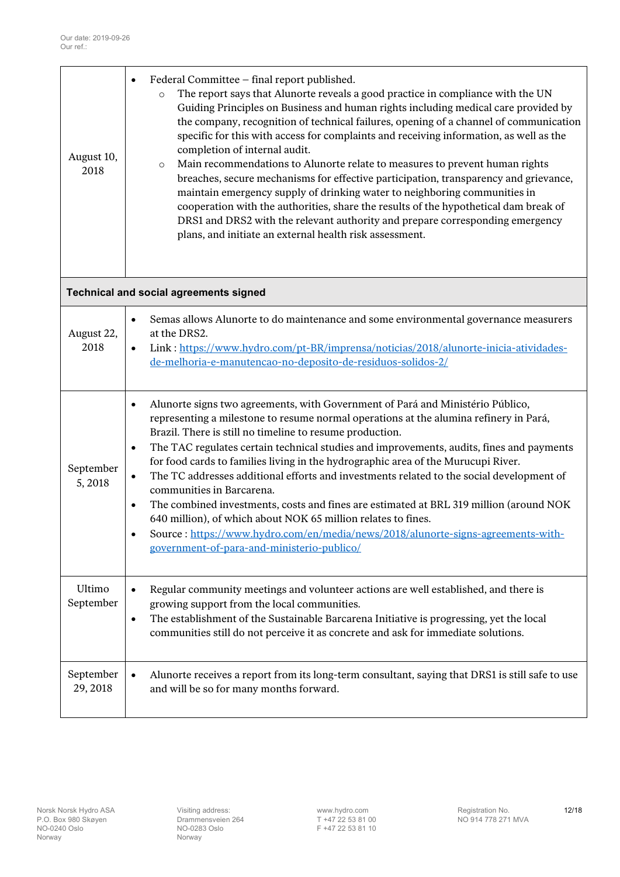<span id="page-11-0"></span>

| August 10,<br>2018    | Federal Committee - final report published.<br>$\bullet$<br>The report says that Alunorte reveals a good practice in compliance with the UN<br>$\circ$<br>Guiding Principles on Business and human rights including medical care provided by<br>the company, recognition of technical failures, opening of a channel of communication<br>specific for this with access for complaints and receiving information, as well as the<br>completion of internal audit.<br>Main recommendations to Alunorte relate to measures to prevent human rights<br>$\circ$<br>breaches, secure mechanisms for effective participation, transparency and grievance,<br>maintain emergency supply of drinking water to neighboring communities in<br>cooperation with the authorities, share the results of the hypothetical dam break of<br>DRS1 and DRS2 with the relevant authority and prepare corresponding emergency<br>plans, and initiate an external health risk assessment. |
|-----------------------|---------------------------------------------------------------------------------------------------------------------------------------------------------------------------------------------------------------------------------------------------------------------------------------------------------------------------------------------------------------------------------------------------------------------------------------------------------------------------------------------------------------------------------------------------------------------------------------------------------------------------------------------------------------------------------------------------------------------------------------------------------------------------------------------------------------------------------------------------------------------------------------------------------------------------------------------------------------------|
|                       | <b>Technical and social agreements signed</b>                                                                                                                                                                                                                                                                                                                                                                                                                                                                                                                                                                                                                                                                                                                                                                                                                                                                                                                       |
| August 22,<br>2018    | Semas allows Alunorte to do maintenance and some environmental governance measurers<br>$\bullet$<br>at the DRS2.<br>Link: https://www.hydro.com/pt-BR/imprensa/noticias/2018/alunorte-inicia-atividades-<br>$\bullet$<br>de-melhoria-e-manutencao-no-deposito-de-residuos-solidos-2/                                                                                                                                                                                                                                                                                                                                                                                                                                                                                                                                                                                                                                                                                |
| September<br>5,2018   | Alunorte signs two agreements, with Government of Pará and Ministério Público,<br>$\bullet$<br>representing a milestone to resume normal operations at the alumina refinery in Pará,<br>Brazil. There is still no timeline to resume production.<br>The TAC regulates certain technical studies and improvements, audits, fines and payments<br>$\bullet$<br>for food cards to families living in the hydrographic area of the Murucupi River.<br>The TC addresses additional efforts and investments related to the social development of<br>$\bullet$<br>communities in Barcarena.<br>The combined investments, costs and fines are estimated at BRL 319 million (around NOK<br>$\bullet$<br>640 million), of which about NOK 65 million relates to fines.<br>Source: https://www.hydro.com/en/media/news/2018/alunorte-signs-agreements-with-<br>government-of-para-and-ministerio-publico/                                                                      |
| Ultimo<br>September   | Regular community meetings and volunteer actions are well established, and there is<br>$\bullet$<br>growing support from the local communities.<br>The establishment of the Sustainable Barcarena Initiative is progressing, yet the local<br>$\bullet$<br>communities still do not perceive it as concrete and ask for immediate solutions.                                                                                                                                                                                                                                                                                                                                                                                                                                                                                                                                                                                                                        |
| September<br>29, 2018 | Alunorte receives a report from its long-term consultant, saying that DRS1 is still safe to use<br>$\bullet$<br>and will be so for many months forward.                                                                                                                                                                                                                                                                                                                                                                                                                                                                                                                                                                                                                                                                                                                                                                                                             |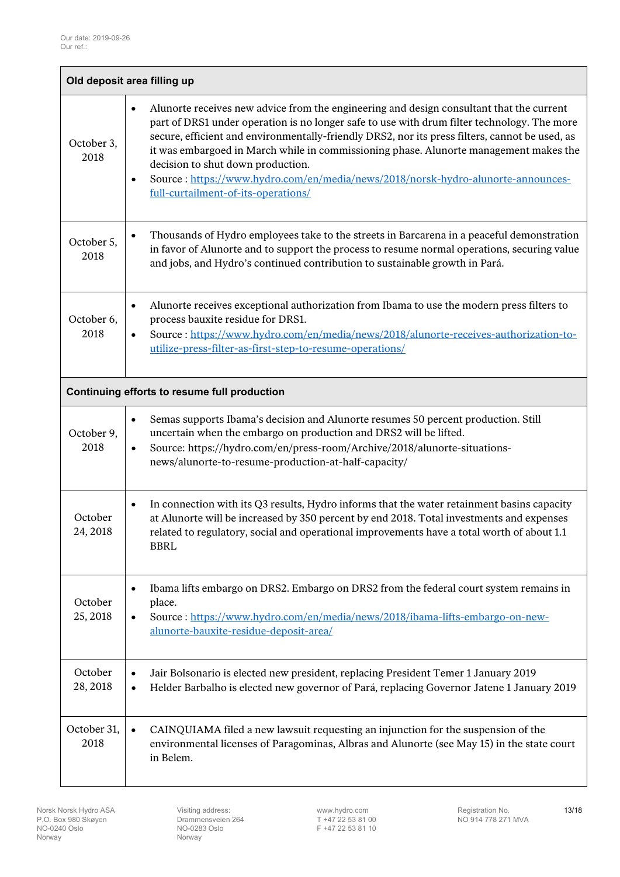<span id="page-12-1"></span><span id="page-12-0"></span>

| Old deposit area filling up                  |                                                                                                                                                                                                                                                                                                                                                                                                                                                                                                                                                                              |  |  |  |
|----------------------------------------------|------------------------------------------------------------------------------------------------------------------------------------------------------------------------------------------------------------------------------------------------------------------------------------------------------------------------------------------------------------------------------------------------------------------------------------------------------------------------------------------------------------------------------------------------------------------------------|--|--|--|
| October 3,<br>2018                           | Alunorte receives new advice from the engineering and design consultant that the current<br>$\bullet$<br>part of DRS1 under operation is no longer safe to use with drum filter technology. The more<br>secure, efficient and environmentally-friendly DRS2, nor its press filters, cannot be used, as<br>it was embargoed in March while in commissioning phase. Alunorte management makes the<br>decision to shut down production.<br>Source: https://www.hydro.com/en/media/news/2018/norsk-hydro-alunorte-announces-<br>$\bullet$<br>full-curtailment-of-its-operations/ |  |  |  |
| October 5,<br>2018                           | Thousands of Hydro employees take to the streets in Barcarena in a peaceful demonstration<br>$\bullet$<br>in favor of Alunorte and to support the process to resume normal operations, securing value<br>and jobs, and Hydro's continued contribution to sustainable growth in Pará.                                                                                                                                                                                                                                                                                         |  |  |  |
| October 6,<br>2018                           | Alunorte receives exceptional authorization from Ibama to use the modern press filters to<br>$\bullet$<br>process bauxite residue for DRS1.<br>Source: https://www.hydro.com/en/media/news/2018/alunorte-receives-authorization-to-<br>$\bullet$<br>utilize-press-filter-as-first-step-to-resume-operations/                                                                                                                                                                                                                                                                 |  |  |  |
| Continuing efforts to resume full production |                                                                                                                                                                                                                                                                                                                                                                                                                                                                                                                                                                              |  |  |  |
| October 9,<br>2018                           | Semas supports Ibama's decision and Alunorte resumes 50 percent production. Still<br>$\bullet$<br>uncertain when the embargo on production and DRS2 will be lifted.<br>Source: https://hydro.com/en/press-room/Archive/2018/alunorte-situations-<br>$\bullet$<br>news/alunorte-to-resume-production-at-half-capacity/                                                                                                                                                                                                                                                        |  |  |  |
| October<br>24, 2018                          | In connection with its Q3 results, Hydro informs that the water retainment basins capacity<br>$\bullet$<br>at Alunorte will be increased by 350 percent by end 2018. Total investments and expenses<br>related to regulatory, social and operational improvements have a total worth of about 1.1<br><b>BBRL</b>                                                                                                                                                                                                                                                             |  |  |  |
| October<br>25, 2018                          | Ibama lifts embargo on DRS2. Embargo on DRS2 from the federal court system remains in<br>$\bullet$<br>place.<br>Source: https://www.hydro.com/en/media/news/2018/ibama-lifts-embargo-on-new-<br>$\bullet$<br>alunorte-bauxite-residue-deposit-area/                                                                                                                                                                                                                                                                                                                          |  |  |  |
| October<br>28, 2018                          | Jair Bolsonario is elected new president, replacing President Temer 1 January 2019<br>$\bullet$<br>Helder Barbalho is elected new governor of Pará, replacing Governor Jatene 1 January 2019<br>$\bullet$                                                                                                                                                                                                                                                                                                                                                                    |  |  |  |
| October 31,<br>2018                          | CAINQUIAMA filed a new lawsuit requesting an injunction for the suspension of the<br>$\bullet$<br>environmental licenses of Paragominas, Albras and Alunorte (see May 15) in the state court<br>in Belem.                                                                                                                                                                                                                                                                                                                                                                    |  |  |  |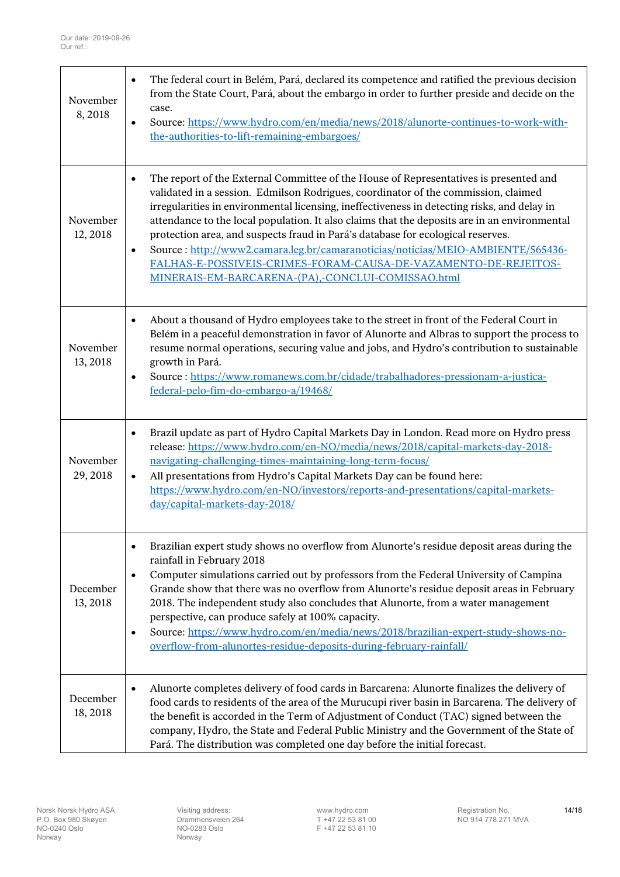| November<br>8,2018   | The federal court in Belém, Pará, declared its competence and ratified the previous decision<br>$\bullet$<br>from the State Court, Pará, about the embargo in order to further preside and decide on the<br>case.<br>Source: https://www.hydro.com/en/media/news/2018/alunorte-continues-to-work-with-<br>$\bullet$<br>the-authorities-to-lift-remaining-embargoes/                                                                                                                                                                                                                                                                                                                                |
|----------------------|----------------------------------------------------------------------------------------------------------------------------------------------------------------------------------------------------------------------------------------------------------------------------------------------------------------------------------------------------------------------------------------------------------------------------------------------------------------------------------------------------------------------------------------------------------------------------------------------------------------------------------------------------------------------------------------------------|
| November<br>12, 2018 | The report of the External Committee of the House of Representatives is presented and<br>$\bullet$<br>validated in a session. Edmilson Rodrigues, coordinator of the commission, claimed<br>irregularities in environmental licensing, ineffectiveness in detecting risks, and delay in<br>attendance to the local population. It also claims that the deposits are in an environmental<br>protection area, and suspects fraud in Pará's database for ecological reserves.<br>Source: http://www2.camara.leg.br/camaranoticias/noticias/MEIO-AMBIENTE/565436-<br>$\bullet$<br>FALHAS-E-POSSIVEIS-CRIMES-FORAM-CAUSA-DE-VAZAMENTO-DE-REJEITOS-<br>MINERAIS-EM-BARCARENA-(PA),-CONCLUI-COMISSAO.html |
| November<br>13, 2018 | About a thousand of Hydro employees take to the street in front of the Federal Court in<br>$\bullet$<br>Belém in a peaceful demonstration in favor of Alunorte and Albras to support the process to<br>resume normal operations, securing value and jobs, and Hydro's contribution to sustainable<br>growth in Pará.<br>Source: https://www.romanews.com.br/cidade/trabalhadores-pressionam-a-justica-<br>$\bullet$<br>federal-pelo-fim-do-embargo-a/19468/                                                                                                                                                                                                                                        |
| November<br>29, 2018 | Brazil update as part of Hydro Capital Markets Day in London. Read more on Hydro press<br>$\bullet$<br>release: https://www.hydro.com/en-NO/media/news/2018/capital-markets-day-2018-<br>navigating-challenging-times-maintaining-long-term-focus/<br>All presentations from Hydro's Capital Markets Day can be found here:<br>$\bullet$<br>https://www.hydro.com/en-NO/investors/reports-and-presentations/capital-markets-<br>day/capital-markets-day-2018/                                                                                                                                                                                                                                      |
| December<br>13, 2018 | Brazilian expert study shows no overflow from Alunorte's residue deposit areas during the<br>$\bullet$<br>rainfall in February 2018<br>Computer simulations carried out by professors from the Federal University of Campina<br>$\bullet$<br>Grande show that there was no overflow from Alunorte's residue deposit areas in February<br>2018. The independent study also concludes that Alunorte, from a water management<br>perspective, can produce safely at 100% capacity.<br>Source: https://www.hydro.com/en/media/news/2018/brazilian-expert-study-shows-no-<br>$\bullet$<br>overflow-from-alunortes-residue-deposits-during-february-rainfall/                                            |
| December<br>18,2018  | Alunorte completes delivery of food cards in Barcarena: Alunorte finalizes the delivery of<br>$\bullet$<br>food cards to residents of the area of the Murucupi river basin in Barcarena. The delivery of<br>the benefit is accorded in the Term of Adjustment of Conduct (TAC) signed between the<br>company, Hydro, the State and Federal Public Ministry and the Government of the State of<br>Pará. The distribution was completed one day before the initial forecast.                                                                                                                                                                                                                         |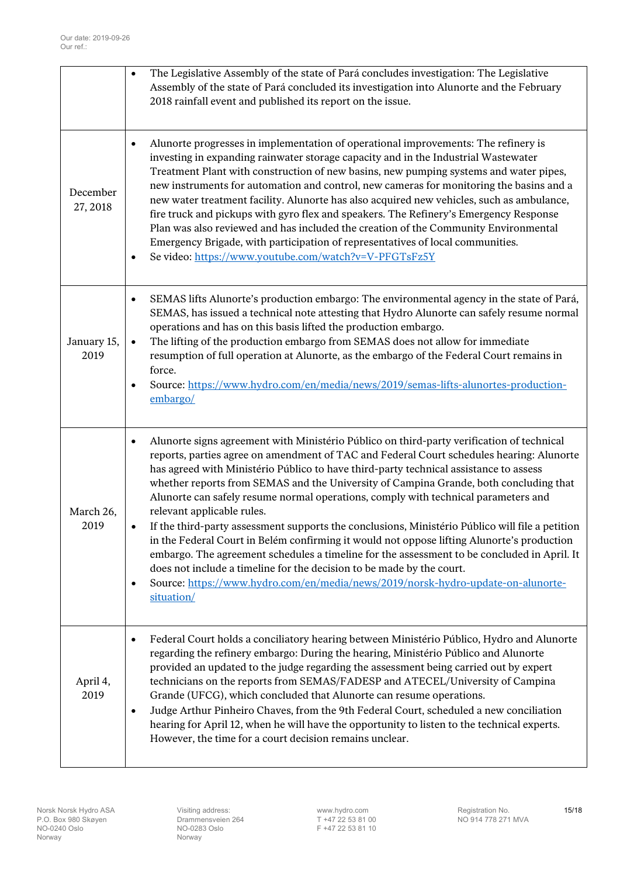|                      | $\bullet$              | The Legislative Assembly of the state of Pará concludes investigation: The Legislative<br>Assembly of the state of Pará concluded its investigation into Alunorte and the February<br>2018 rainfall event and published its report on the issue.                                                                                                                                                                                                                                                                                                                                                                                                                                                                                                                                                                                                                                                                                                                       |
|----------------------|------------------------|------------------------------------------------------------------------------------------------------------------------------------------------------------------------------------------------------------------------------------------------------------------------------------------------------------------------------------------------------------------------------------------------------------------------------------------------------------------------------------------------------------------------------------------------------------------------------------------------------------------------------------------------------------------------------------------------------------------------------------------------------------------------------------------------------------------------------------------------------------------------------------------------------------------------------------------------------------------------|
| December<br>27, 2018 | $\bullet$              | Alunorte progresses in implementation of operational improvements: The refinery is<br>investing in expanding rainwater storage capacity and in the Industrial Wastewater<br>Treatment Plant with construction of new basins, new pumping systems and water pipes,<br>new instruments for automation and control, new cameras for monitoring the basins and a<br>new water treatment facility. Alunorte has also acquired new vehicles, such as ambulance,<br>fire truck and pickups with gyro flex and speakers. The Refinery's Emergency Response<br>Plan was also reviewed and has included the creation of the Community Environmental<br>Emergency Brigade, with participation of representatives of local communities.<br>Se video: https://www.youtube.com/watch?v=V-PFGTsFz5Y                                                                                                                                                                                   |
| January 15,<br>2019  | $\bullet$<br>$\bullet$ | SEMAS lifts Alunorte's production embargo: The environmental agency in the state of Pará,<br>SEMAS, has issued a technical note attesting that Hydro Alunorte can safely resume normal<br>operations and has on this basis lifted the production embargo.<br>The lifting of the production embargo from SEMAS does not allow for immediate<br>resumption of full operation at Alunorte, as the embargo of the Federal Court remains in<br>force.<br>Source: https://www.hydro.com/en/media/news/2019/semas-lifts-alunortes-production-<br>embargo/                                                                                                                                                                                                                                                                                                                                                                                                                     |
| March 26,<br>2019    | ٠<br>٠                 | Alunorte signs agreement with Ministério Público on third-party verification of technical<br>reports, parties agree on amendment of TAC and Federal Court schedules hearing: Alunorte<br>has agreed with Ministério Público to have third-party technical assistance to assess<br>whether reports from SEMAS and the University of Campina Grande, both concluding that<br>Alunorte can safely resume normal operations, comply with technical parameters and<br>relevant applicable rules.<br>If the third-party assessment supports the conclusions, Ministério Público will file a petition<br>in the Federal Court in Belém confirming it would not oppose lifting Alunorte's production<br>embargo. The agreement schedules a timeline for the assessment to be concluded in April. It<br>does not include a timeline for the decision to be made by the court.<br>Source: https://www.hydro.com/en/media/news/2019/norsk-hydro-update-on-alunorte-<br>situation/ |
| April 4,<br>2019     | $\bullet$<br>$\bullet$ | Federal Court holds a conciliatory hearing between Ministério Público, Hydro and Alunorte<br>regarding the refinery embargo: During the hearing, Ministério Público and Alunorte<br>provided an updated to the judge regarding the assessment being carried out by expert<br>technicians on the reports from SEMAS/FADESP and ATECEL/University of Campina<br>Grande (UFCG), which concluded that Alunorte can resume operations.<br>Judge Arthur Pinheiro Chaves, from the 9th Federal Court, scheduled a new conciliation<br>hearing for April 12, when he will have the opportunity to listen to the technical experts.<br>However, the time for a court decision remains unclear.                                                                                                                                                                                                                                                                                  |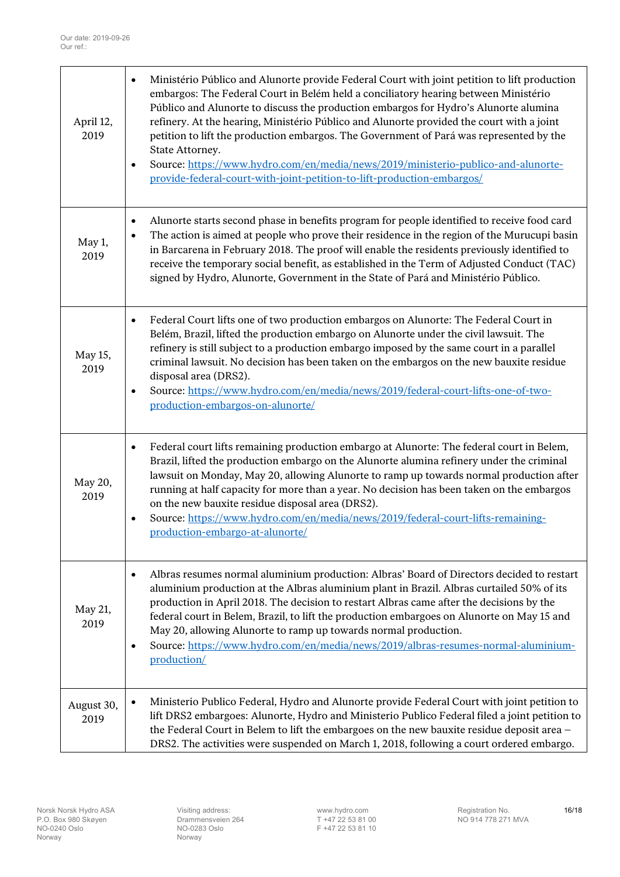| April 12,<br>2019  | Ministério Público and Alunorte provide Federal Court with joint petition to lift production<br>$\bullet$<br>embargos: The Federal Court in Belém held a conciliatory hearing between Ministério<br>Público and Alunorte to discuss the production embargos for Hydro's Alunorte alumina<br>refinery. At the hearing, Ministério Público and Alunorte provided the court with a joint<br>petition to lift the production embargos. The Government of Pará was represented by the<br>State Attorney.<br>Source: https://www.hydro.com/en/media/news/2019/ministerio-publico-and-alunorte-<br>$\bullet$<br>provide-federal-court-with-joint-petition-to-lift-production-embargos/ |
|--------------------|---------------------------------------------------------------------------------------------------------------------------------------------------------------------------------------------------------------------------------------------------------------------------------------------------------------------------------------------------------------------------------------------------------------------------------------------------------------------------------------------------------------------------------------------------------------------------------------------------------------------------------------------------------------------------------|
| May 1,<br>2019     | Alunorte starts second phase in benefits program for people identified to receive food card<br>$\bullet$<br>The action is aimed at people who prove their residence in the region of the Murucupi basin<br>$\bullet$<br>in Barcarena in February 2018. The proof will enable the residents previously identified to<br>receive the temporary social benefit, as established in the Term of Adjusted Conduct (TAC)<br>signed by Hydro, Alunorte, Government in the State of Pará and Ministério Público.                                                                                                                                                                         |
| May 15,<br>2019    | Federal Court lifts one of two production embargos on Alunorte: The Federal Court in<br>$\bullet$<br>Belém, Brazil, lifted the production embargo on Alunorte under the civil lawsuit. The<br>refinery is still subject to a production embargo imposed by the same court in a parallel<br>criminal lawsuit. No decision has been taken on the embargos on the new bauxite residue<br>disposal area (DRS2).<br>Source: https://www.hydro.com/en/media/news/2019/federal-court-lifts-one-of-two-<br>$\bullet$<br>production-embargos-on-alunorte/                                                                                                                                |
| May 20,<br>2019    | Federal court lifts remaining production embargo at Alunorte: The federal court in Belem,<br>$\bullet$<br>Brazil, lifted the production embargo on the Alunorte alumina refinery under the criminal<br>lawsuit on Monday, May 20, allowing Alunorte to ramp up towards normal production after<br>running at half capacity for more than a year. No decision has been taken on the embargos<br>on the new bauxite residue disposal area (DRS2).<br>Source: https://www.hydro.com/en/media/news/2019/federal-court-lifts-remaining-<br>٠<br>production-embargo-at-alunorte/                                                                                                      |
| May 21,<br>2019    | Albras resumes normal aluminium production: Albras' Board of Directors decided to restart<br>$\bullet$<br>aluminium production at the Albras aluminium plant in Brazil. Albras curtailed 50% of its<br>production in April 2018. The decision to restart Albras came after the decisions by the<br>federal court in Belem, Brazil, to lift the production embargoes on Alunorte on May 15 and<br>May 20, allowing Alunorte to ramp up towards normal production.<br>Source: https://www.hydro.com/en/media/news/2019/albras-resumes-normal-aluminium-<br>$\bullet$<br>production/                                                                                               |
| August 30,<br>2019 | Ministerio Publico Federal, Hydro and Alunorte provide Federal Court with joint petition to<br>$\bullet$<br>lift DRS2 embargoes: Alunorte, Hydro and Ministerio Publico Federal filed a joint petition to<br>the Federal Court in Belem to lift the embargoes on the new bauxite residue deposit area -<br>DRS2. The activities were suspended on March 1, 2018, following a court ordered embargo.                                                                                                                                                                                                                                                                             |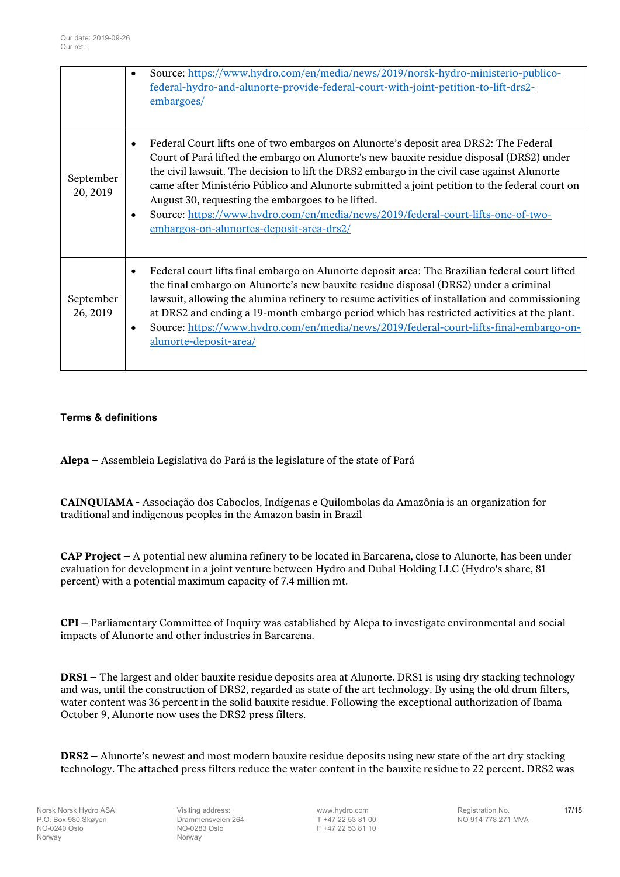|                       | $\bullet$              | Source: https://www.hydro.com/en/media/news/2019/norsk-hydro-ministerio-publico-<br>federal-hydro-and-alunorte-provide-federal-court-with-joint-petition-to-lift-drs2-<br>embargoes/                                                                                                                                                                                                                                                                                                                                                                                  |
|-----------------------|------------------------|-----------------------------------------------------------------------------------------------------------------------------------------------------------------------------------------------------------------------------------------------------------------------------------------------------------------------------------------------------------------------------------------------------------------------------------------------------------------------------------------------------------------------------------------------------------------------|
| September<br>20, 2019 | $\bullet$<br>$\bullet$ | Federal Court lifts one of two embargos on Alunorte's deposit area DRS2: The Federal<br>Court of Pará lifted the embargo on Alunorte's new bauxite residue disposal (DRS2) under<br>the civil lawsuit. The decision to lift the DRS2 embargo in the civil case against Alunorte<br>came after Ministério Público and Alunorte submitted a joint petition to the federal court on<br>August 30, requesting the embargoes to be lifted.<br>Source: https://www.hydro.com/en/media/news/2019/federal-court-lifts-one-of-two-<br>embargos-on-alunortes-deposit-area-drs2/ |
| September<br>26, 2019 | $\bullet$<br>$\bullet$ | Federal court lifts final embargo on Alunorte deposit area: The Brazilian federal court lifted<br>the final embargo on Alunorte's new bauxite residue disposal (DRS2) under a criminal<br>lawsuit, allowing the alumina refinery to resume activities of installation and commissioning<br>at DRS2 and ending a 19-month embargo period which has restricted activities at the plant.<br>Source: https://www.hydro.com/en/media/news/2019/federal-court-lifts-final-embargo-on-<br>alunorte-deposit-area/                                                             |

## <span id="page-16-0"></span>**Terms & definitions**

**Alepa –** Assembleia Legislativa do Pará is the legislature of the state of Pará

**CAINQUIAMA -** Associação dos Caboclos, Indígenas e Quilombolas da Amazônia is an organization for traditional and indigenous peoples in the Amazon basin in Brazil

**CAP Project –** A potential new alumina refinery to be located in Barcarena, close to Alunorte, has been under evaluation for development in a joint venture between Hydro and Dubal Holding LLC (Hydro's share, 81 percent) with a potential maximum capacity of 7.4 million mt.

**CPI –** Parliamentary Committee of Inquiry was established by Alepa to investigate environmental and social impacts of Alunorte and other industries in Barcarena.

**DRS1 –** The largest and older bauxite residue deposits area at Alunorte. DRS1 is using dry stacking technology and was, until the construction of DRS2, regarded as state of the art technology. By using the old drum filters, water content was 36 percent in the solid bauxite residue. Following the exceptional authorization of Ibama October 9, Alunorte now uses the DRS2 press filters.

**DRS2 –** Alunorte's newest and most modern bauxite residue deposits using new state of the art dry stacking technology. The attached press filters reduce the water content in the bauxite residue to 22 percent. DRS2 was

Norway